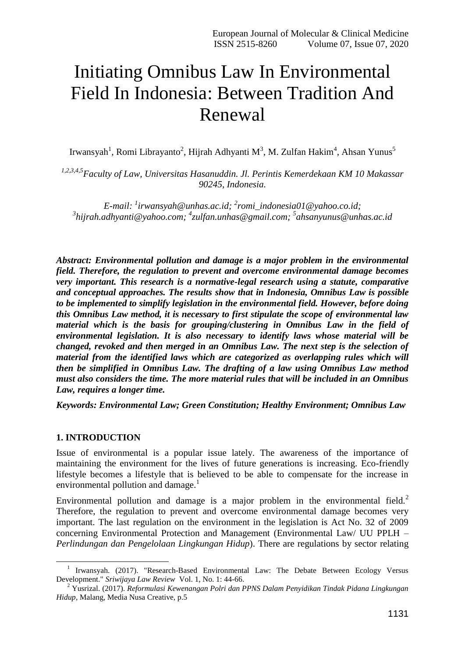# Initiating Omnibus Law In Environmental Field In Indonesia: Between Tradition And Renewal

Irwansyah<sup>1</sup>, Romi Librayanto<sup>2</sup>, Hijrah Adhyanti M<sup>3</sup>, M. Zulfan Hakim<sup>4</sup>, Ahsan Yunus<sup>5</sup>

*1,2,3,4,5Faculty of Law, Universitas Hasanuddin. Jl. Perintis Kemerdekaan KM 10 Makassar 90245, Indonesia.*

*E-mail: <sup>1</sup> [irwansyah@unhas.ac.id;](mailto:irwansyah@unhas.ac.id) 2 [romi\\_indonesia01@yahoo.co.id;](mailto:romi_indonesia01@yahoo.co.id) 3 [hijrah.adhyanti@yahoo.com;](mailto:hijrah.adhyanti@yahoo.com) 4 [zulfan.unhas@gmail.com;](mailto:zulfan.unhas@gmail.com) 5 [ahsanyunus@unhas.ac.id](mailto:ahsanyunus@unhas.ac.id)*

*Abstract: Environmental pollution and damage is a major problem in the environmental field. Therefore, the regulation to prevent and overcome environmental damage becomes very important. This research is a normative-legal research using a statute, comparative and conceptual approaches. The results show that in Indonesia, Omnibus Law is possible to be implemented to simplify legislation in the environmental field. However, before doing this Omnibus Law method, it is necessary to first stipulate the scope of environmental law material which is the basis for grouping/clustering in Omnibus Law in the field of environmental legislation. It is also necessary to identify laws whose material will be changed, revoked and then merged in an Omnibus Law. The next step is the selection of material from the identified laws which are categorized as overlapping rules which will then be simplified in Omnibus Law. The drafting of a law using Omnibus Law method must also considers the time. The more material rules that will be included in an Omnibus Law, requires a longer time.*

*Keywords: Environmental Law; Green Constitution; Healthy Environment; Omnibus Law*

### **1. INTRODUCTION**

1

Issue of environmental is a popular issue lately. The awareness of the importance of maintaining the environment for the lives of future generations is increasing. Eco-friendly lifestyle becomes a lifestyle that is believed to be able to compensate for the increase in environmental pollution and damage. $<sup>1</sup>$ </sup>

Environmental pollution and damage is a major problem in the environmental field.<sup>2</sup> Therefore, the regulation to prevent and overcome environmental damage becomes very important. The last regulation on the environment in the legislation is Act No. 32 of 2009 concerning Environmental Protection and Management (Environmental Law/ UU PPLH – *Perlindungan dan Pengelolaan Lingkungan Hidup*). There are regulations by sector relating

<sup>&</sup>lt;sup>1</sup> Irwansyah. (2017). "Research-Based Environmental Law: The Debate Between Ecology Versus Development." *Sriwijaya Law Review* Vol. 1, No. 1: 44-66.

<sup>2</sup> Yusrizal. (2017). *Reformulasi Kewenangan Polri dan PPNS Dalam Penyidikan Tindak Pidana Lingkungan Hidup*, Malang, Media Nusa Creative, p.5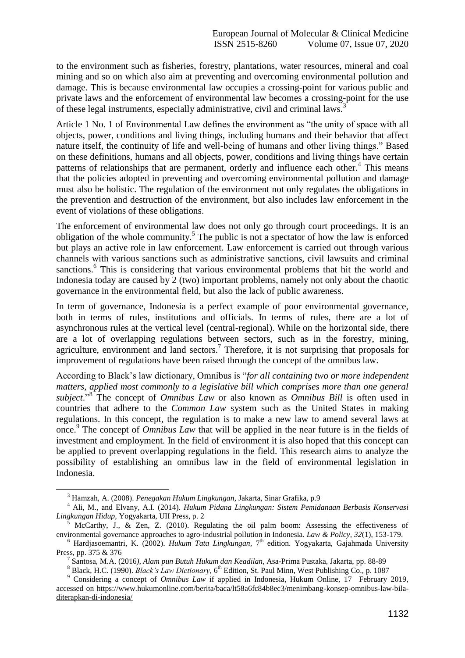to the environment such as fisheries, forestry, plantations, water resources, mineral and coal mining and so on which also aim at preventing and overcoming environmental pollution and damage. This is because environmental law occupies a crossing-point for various public and private laws and the enforcement of environmental law becomes a crossing-point for the use of these legal instruments, especially administrative, civil and criminal laws.<sup>3</sup>

Article 1 No. 1 of Environmental Law defines the environment as "the unity of space with all objects, power, conditions and living things, including humans and their behavior that affect nature itself, the continuity of life and well-being of humans and other living things." Based on these definitions, humans and all objects, power, conditions and living things have certain patterns of relationships that are permanent, orderly and influence each other.<sup>4</sup> This means that the policies adopted in preventing and overcoming environmental pollution and damage must also be holistic. The regulation of the environment not only regulates the obligations in the prevention and destruction of the environment, but also includes law enforcement in the event of violations of these obligations.

The enforcement of environmental law does not only go through court proceedings. It is an obligation of the whole community.<sup>5</sup> The public is not a spectator of how the law is enforced but plays an active role in law enforcement. Law enforcement is carried out through various channels with various sanctions such as administrative sanctions, civil lawsuits and criminal sanctions.<sup>6</sup> This is considering that various environmental problems that hit the world and Indonesia today are caused by 2 (two) important problems, namely not only about the chaotic governance in the environmental field, but also the lack of public awareness.

In term of governance, Indonesia is a perfect example of poor environmental governance, both in terms of rules, institutions and officials. In terms of rules, there are a lot of asynchronous rules at the vertical level (central-regional). While on the horizontal side, there are a lot of overlapping regulations between sectors, such as in the forestry, mining, agriculture, environment and land sectors.<sup>7</sup> Therefore, it is not surprising that proposals for improvement of regulations have been raised through the concept of the omnibus law.

According to Black's law dictionary, Omnibus is "*for all containing two or more independent matters, applied most commonly to a legislative bill which comprises more than one general*  subject."<sup>8</sup> The concept of *Omnibus Law* or also known as *Omnibus Bill* is often used in countries that adhere to the *Common Law* system such as the United States in making regulations. In this concept, the regulation is to make a new law to amend several laws at once.<sup>9</sup> The concept of *Omnibus Law* that will be applied in the near future is in the fields of investment and employment. In the field of environment it is also hoped that this concept can be applied to prevent overlapping regulations in the field. This research aims to analyze the possibility of establishing an omnibus law in the field of environmental legislation in Indonesia.

1

<sup>3</sup> Hamzah, A. (2008). *Penegakan Hukum Lingkungan,* Jakarta, Sinar Grafika, p.9

<sup>4</sup> Ali, M., and Elvany, A.I. (2014). *Hukum Pidana Lingkungan: Sistem Pemidanaan Berbasis Konservasi Lingkungan Hidup,* Yogyakarta, UII Press, p. 2

<sup>5</sup> McCarthy, J., & Zen, Z. (2010). Regulating the oil palm boom: Assessing the effectiveness of environmental governance approaches to agro‐industrial pollution in Indonesia. *Law & Policy*, *32*(1), 153-179.

<sup>&</sup>lt;sup>6</sup> Hardjasoemantri, K. (2002). *Hukum Tata Lingkungan*, 7<sup>th</sup> edition. Yogyakarta, Gajahmada University Press, pp. 375 & 376

<sup>7</sup> Santosa, M.A. (2016*), Alam pun Butuh Hukum dan Keadilan,* Asa-Prima Pustaka, Jakarta, pp. 88-89

<sup>&</sup>lt;sup>8</sup> Black, H.C. (1990). *Black's Law Dictionary*, 6<sup>th</sup> Edition, St. Paul Minn, West Publishing Co., p. 1087

<sup>&</sup>lt;sup>9</sup> Considering a concept of *Omnibus Law* if applied in Indonesia, Hukum Online, 17 February 2019, accessed on [https://www.hukumonline.com/berita/baca/lt58a6fc84b8ec3/menimbang-konsep-omnibus-law-bila](https://www.hukumonline.com/berita/baca/lt58a6fc84b8ec3/menimbang-konsep-omnibus-law-bila-diterapkan-di-indonesia/)[diterapkan-di-indonesia/](https://www.hukumonline.com/berita/baca/lt58a6fc84b8ec3/menimbang-konsep-omnibus-law-bila-diterapkan-di-indonesia/)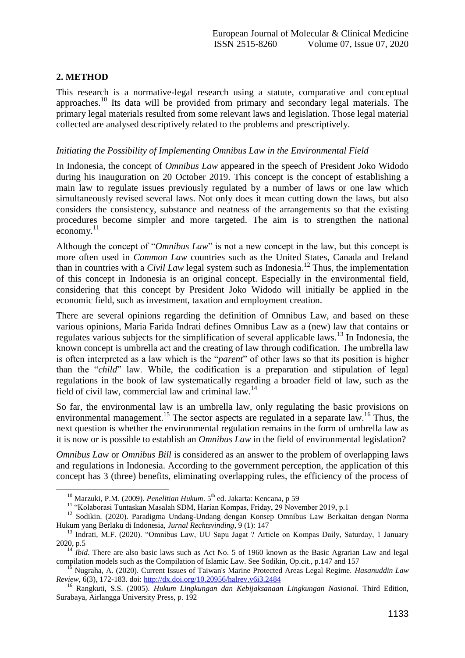# **2. METHOD**

1

This research is a normative-legal research using a statute, comparative and conceptual approaches.<sup>10</sup> Its data will be provided from primary and secondary legal materials. The primary legal materials resulted from some relevant laws and legislation. Those legal material collected are analysed descriptively related to the problems and prescriptively.

## *Initiating the Possibility of Implementing Omnibus Law in the Environmental Field*

In Indonesia, the concept of *Omnibus Law* appeared in the speech of President Joko Widodo during his inauguration on 20 October 2019. This concept is the concept of establishing a main law to regulate issues previously regulated by a number of laws or one law which simultaneously revised several laws. Not only does it mean cutting down the laws, but also considers the consistency, substance and neatness of the arrangements so that the existing procedures become simpler and more targeted. The aim is to strengthen the national economy.<sup>11</sup>

Although the concept of "*Omnibus Law*" is not a new concept in the law, but this concept is more often used in *Common Law* countries such as the United States, Canada and Ireland than in countries with a *Civil Law* legal system such as Indonesia.<sup>12</sup> Thus, the implementation of this concept in Indonesia is an original concept. Especially in the environmental field, considering that this concept by President Joko Widodo will initially be applied in the economic field, such as investment, taxation and employment creation.

There are several opinions regarding the definition of Omnibus Law, and based on these various opinions, Maria Farida Indrati defines Omnibus Law as a (new) law that contains or regulates various subjects for the simplification of several applicable laws.<sup>13</sup> In Indonesia, the known concept is umbrella act and the creating of law through codification. The umbrella law is often interpreted as a law which is the "*parent*" of other laws so that its position is higher than the "*child*" law. While, the codification is a preparation and stipulation of legal regulations in the book of law systematically regarding a broader field of law, such as the field of civil law, commercial law and criminal law.<sup>14</sup>

So far, the environmental law is an umbrella law, only regulating the basic provisions on environmental management.<sup>15</sup> The sector aspects are regulated in a separate law.<sup>16</sup> Thus, the next question is whether the environmental regulation remains in the form of umbrella law as it is now or is possible to establish an *Omnibus Law* in the field of environmental legislation?

*Omnibus Law* or *Omnibus Bill* is considered as an answer to the problem of overlapping laws and regulations in Indonesia. According to the government perception, the application of this concept has 3 (three) benefits, eliminating overlapping rules, the efficiency of the process of

<sup>&</sup>lt;sup>10</sup> Marzuki, P.M. (2009). *Penelitian Hukum.* 5<sup>th</sup> ed. Jakarta: Kencana, p 59

<sup>&</sup>lt;sup>11</sup> "Kolaborasi Tuntaskan Masalah SDM, Harian Kompas, Friday, 29 November 2019, p.1

<sup>&</sup>lt;sup>12</sup> Sodikin. (2020). Paradigma Undang-Undang dengan Konsep Omnibus Law Berkaitan dengan Norma Hukum yang Berlaku di Indonesia, *Jurnal Rechtsvinding*, 9 (1): 147

<sup>&</sup>lt;sup>13</sup> Indrati, M.F. (2020). "Omnibus Law, UU Sapu Jagat ? Article on Kompas Daily, Saturday, 1 January 2020, p.5

<sup>&</sup>lt;sup>14</sup> *Ibid*. There are also basic laws such as Act No. 5 of 1960 known as the Basic Agrarian Law and legal compilation models such as the Compilation of Islamic Law. See Sodikin, Op.cit., p.147 and 157

<sup>15</sup> Nugraha, A. (2020). Current Issues of Taiwan's Marine Protected Areas Legal Regime. *Hasanuddin Law Review*, 6(3), 172-183. doi: <http://dx.doi.org/10.20956/halrev.v6i3.2484>

<sup>16</sup> Rangkuti, S.S. (2005). *Hukum Lingkungan dan Kebijaksanaan Lingkungan Nasional.* Third Edition, Surabaya, Airlangga University Press, p. 192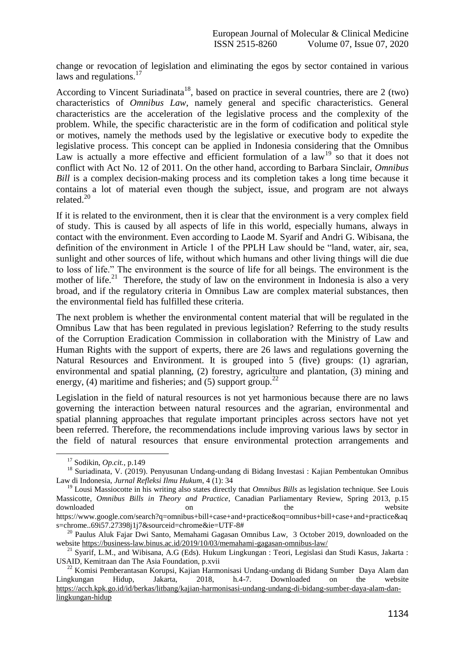change or revocation of legislation and eliminating the egos by sector contained in various laws and regulations. $17$ 

According to Vincent Suriadinata<sup>18</sup>, based on practice in several countries, there are 2 (two) characteristics of *Omnibus Law*, namely general and specific characteristics. General characteristics are the acceleration of the legislative process and the complexity of the problem. While, the specific characteristic are in the form of codification and political style or motives, namely the methods used by the legislative or executive body to expedite the legislative process. This concept can be applied in Indonesia considering that the Omnibus Law is actually a more effective and efficient formulation of a  $law<sup>19</sup>$  so that it does not conflict with Act No. 12 of 2011. On the other hand, according to Barbara Sinclair, *Omnibus Bill* is a complex decision-making process and its completion takes a long time because it contains a lot of material even though the subject, issue, and program are not always related.<sup>20</sup>

If it is related to the environment, then it is clear that the environment is a very complex field of study. This is caused by all aspects of life in this world, especially humans, always in contact with the environment. Even according to Laode M. Syarif and Andri G. Wibisana, the definition of the environment in Article 1 of the PPLH Law should be "land, water, air, sea, sunlight and other sources of life, without which humans and other living things will die due to loss of life." The environment is the source of life for all beings. The environment is the mother of life.<sup>21</sup> Therefore, the study of law on the environment in Indonesia is also a very broad, and if the regulatory criteria in Omnibus Law are complex material substances, then the environmental field has fulfilled these criteria.

The next problem is whether the environmental content material that will be regulated in the Omnibus Law that has been regulated in previous legislation? Referring to the study results of the Corruption Eradication Commission in collaboration with the Ministry of Law and Human Rights with the support of experts, there are 26 laws and regulations governing the Natural Resources and Environment. It is grouped into 5 (five) groups: (1) agrarian, environmental and spatial planning, (2) forestry, agriculture and plantation, (3) mining and energy, (4) maritime and fisheries; and (5) support group.<sup>22</sup>

Legislation in the field of natural resources is not yet harmonious because there are no laws governing the interaction between natural resources and the agrarian, environmental and spatial planning approaches that regulate important principles across sectors have not yet been referred. Therefore, the recommendations include improving various laws by sector in the field of natural resources that ensure environmental protection arrangements and

<u>.</u>

<sup>17</sup> Sodikin, *Op.cit.,* p.149

<sup>18</sup> Suriadinata, V. (2019). Penyusunan Undang-undang di Bidang Investasi : Kajian Pembentukan Omnibus Law di Indonesia, *Jurnal Refleksi Ilmu Hukum*, 4 (1): 34

<sup>&</sup>lt;sup>19</sup> Lousi Massiocotte in his writing also states directly that *Omnibus Bills* as legislation technique. See Louis Massicotte, *Omnibus Bills in Theory and Practice*, Canadian Parliamentary Review, Spring 2013, p.15 downloaded on on the website website https://www.google.com/search?q=omnibus+bill+case+and+practice&oq=omnibus+bill+case+and+practice&aq s=chrome..69i57.27398j1j7&sourceid=chrome&ie=UTF-8#

<sup>&</sup>lt;sup>20</sup> Paulus Aluk Fajar Dwi Santo, Memahami Gagasan Omnibus Law, 3 October 2019, downloaded on the website<https://business-law.binus.ac.id/2019/10/03/memahami-gagasan-omnibus-law/>

<sup>21</sup> Syarif, L.M., and Wibisana, A.G (Eds). Hukum Lingkungan : Teori, Legislasi dan Studi Kasus, Jakarta : USAID, Kemitraan dan The Asia Foundation, p.xvii

<sup>&</sup>lt;sup>22</sup> Komisi Pemberantasan Korupsi, Kajian Harmonisasi Undang-undang di Bidang Sumber Daya Alam dan gkungan Hidup, Jakarta, 2018, h.4-7. Downloaded on the website Lingkungan Hidup, Jakarta, 2018, h.4-7. Downloaded on the website [https://acch.kpk.go.id/id/berkas/litbang/kajian-harmonisasi-undang-undang-di-bidang-sumber-daya-alam-dan](https://acch.kpk.go.id/id/berkas/litbang/kajian-harmonisasi-undang-undang-di-bidang-sumber-daya-alam-dan-lingkungan-hidup)[lingkungan-hidup](https://acch.kpk.go.id/id/berkas/litbang/kajian-harmonisasi-undang-undang-di-bidang-sumber-daya-alam-dan-lingkungan-hidup)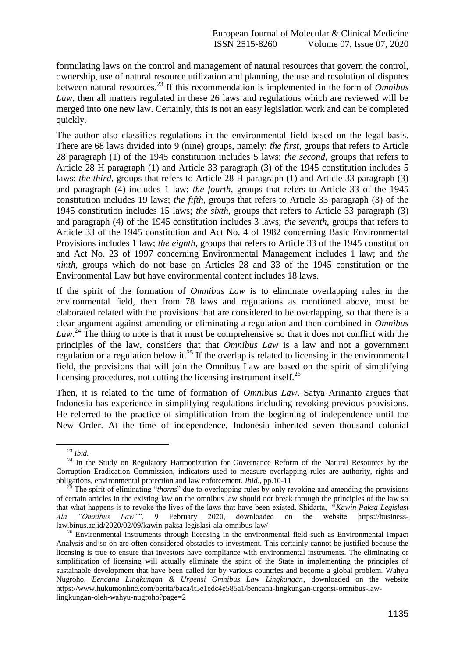formulating laws on the control and management of natural resources that govern the control, ownership, use of natural resource utilization and planning, the use and resolution of disputes between natural resources.<sup>23</sup> If this recommendation is implemented in the form of *Omnibus Law*, then all matters regulated in these 26 laws and regulations which are reviewed will be merged into one new law. Certainly, this is not an easy legislation work and can be completed quickly.

The author also classifies regulations in the environmental field based on the legal basis. There are 68 laws divided into 9 (nine) groups, namely: *the first*, groups that refers to Article 28 paragraph (1) of the 1945 constitution includes 5 laws; *the second*, groups that refers to Article 28 H paragraph (1) and Article 33 paragraph (3) of the 1945 constitution includes 5 laws; *the third*, groups that refers to Article 28 H paragraph (1) and Article 33 paragraph (3) and paragraph (4) includes 1 law; *the fourth*, groups that refers to Article 33 of the 1945 constitution includes 19 laws; *the fifth*, groups that refers to Article 33 paragraph (3) of the 1945 constitution includes 15 laws; *the sixth*, groups that refers to Article 33 paragraph (3) and paragraph (4) of the 1945 constitution includes 3 laws; *the seventh*, groups that refers to Article 33 of the 1945 constitution and Act No. 4 of 1982 concerning Basic Environmental Provisions includes 1 law; *the eighth*, groups that refers to Article 33 of the 1945 constitution and Act No. 23 of 1997 concerning Environmental Management includes 1 law; and *the ninth*, groups which do not base on Articles 28 and 33 of the 1945 constitution or the Environmental Law but have environmental content includes 18 laws.

If the spirit of the formation of *Omnibus Law* is to eliminate overlapping rules in the environmental field, then from 78 laws and regulations as mentioned above, must be elaborated related with the provisions that are considered to be overlapping, so that there is a clear argument against amending or eliminating a regulation and then combined in *Omnibus*  Law.<sup>24</sup> The thing to note is that it must be comprehensive so that it does not conflict with the principles of the law, considers that that *Omnibus Law* is a law and not a government regulation or a regulation below it.<sup>25</sup> If the overlap is related to licensing in the environmental field, the provisions that will join the Omnibus Law are based on the spirit of simplifying licensing procedures, not cutting the licensing instrument itself. $^{26}$ 

Then, it is related to the time of formation of *Omnibus Law*. Satya Arinanto argues that Indonesia has experience in simplifying regulations including revoking previous provisions. He referred to the practice of simplification from the beginning of independence until the New Order. At the time of independence, Indonesia inherited seven thousand colonial

1

<sup>23</sup> *Ibid.*

<sup>&</sup>lt;sup>24</sup> In the Study on Regulatory Harmonization for Governance Reform of the Natural Resources by the Corruption Eradication Commission, indicators used to measure overlapping rules are authority, rights and obligations, environmental protection and law enforcement. *Ibid*., pp.10-11

<sup>25</sup> The spirit of eliminating "*thorns*" due to overlapping rules by only revoking and amending the provisions of certain articles in the existing law on the omnibus law should not break through the principles of the law so that what happens is to revoke the lives of the laws that have been existed. Shidarta, "*Kawin Paksa Legislasi Ala "Omnibus Law"*", 9 February 2020, downloaded on the website [https://business](https://business-law.binus.ac.id/2020/02/09/kawin-paksa-legislasi-ala-omnibus-law/)[law.binus.ac.id/2020/02/09/kawin-paksa-legislasi-ala-omnibus-law/](https://business-law.binus.ac.id/2020/02/09/kawin-paksa-legislasi-ala-omnibus-law/)

<sup>&</sup>lt;sup>26</sup> Environmental instruments through licensing in the environmental field such as Environmental Impact Analysis and so on are often considered obstacles to investment. This certainly cannot be justified because the licensing is true to ensure that investors have compliance with environmental instruments. The eliminating or simplification of licensing will actually eliminate the spirit of the State in implementing the principles of sustainable development that have been called for by various countries and become a global problem. Wahyu Nugroho, *Bencana Lingkungan & Urgensi Omnibus Law Lingkungan*, downloaded on the website [https://www.hukumonline.com/berita/baca/lt5e1edc4e585a1/bencana-lingkungan-urgensi-omnibus-law](https://www.hukumonline.com/berita/baca/lt5e1edc4e585a1/bencana-lingkungan-urgensi-omnibus-law-lingkungan-oleh-wahyu-nugroho?page=2)[lingkungan-oleh-wahyu-nugroho?page=2](https://www.hukumonline.com/berita/baca/lt5e1edc4e585a1/bencana-lingkungan-urgensi-omnibus-law-lingkungan-oleh-wahyu-nugroho?page=2)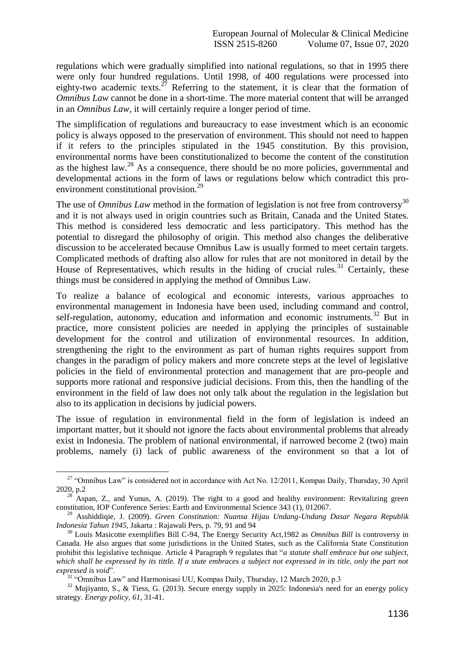regulations which were gradually simplified into national regulations, so that in 1995 there were only four hundred regulations. Until 1998, of 400 regulations were processed into eighty-two academic texts.<sup>27</sup> Referring to the statement, it is clear that the formation of *Omnibus Law* cannot be done in a short-time. The more material content that will be arranged in an *Omnibus Law*, it will certainly require a longer period of time.

The simplification of regulations and bureaucracy to ease investment which is an economic policy is always opposed to the preservation of environment. This should not need to happen if it refers to the principles stipulated in the 1945 constitution. By this provision, environmental norms have been constitutionalized to become the content of the constitution as the highest law.<sup>28</sup> As a consequence, there should be no more policies, governmental and developmental actions in the form of laws or regulations below which contradict this proenvironment constitutional provision.<sup>29</sup>

The use of *Omnibus Law* method in the formation of legislation is not free from controversy<sup>30</sup> and it is not always used in origin countries such as Britain, Canada and the United States. This method is considered less democratic and less participatory. This method has the potential to disregard the philosophy of origin. This method also changes the deliberative discussion to be accelerated because Omnibus Law is usually formed to meet certain targets. Complicated methods of drafting also allow for rules that are not monitored in detail by the House of Representatives, which results in the hiding of crucial rules.<sup>31</sup> Certainly, these things must be considered in applying the method of Omnibus Law.

To realize a balance of ecological and economic interests, various approaches to environmental management in Indonesia have been used, including command and control, self-regulation, autonomy, education and information and economic instruments.<sup>32</sup> But in practice, more consistent policies are needed in applying the principles of sustainable development for the control and utilization of environmental resources. In addition, strengthening the right to the environment as part of human rights requires support from changes in the paradigm of policy makers and more concrete steps at the level of legislative policies in the field of environmental protection and management that are pro-people and supports more rational and responsive judicial decisions. From this, then the handling of the environment in the field of law does not only talk about the regulation in the legislation but also to its application in decisions by judicial powers.

The issue of regulation in environmental field in the form of legislation is indeed an important matter, but it should not ignore the facts about environmental problems that already exist in Indonesia. The problem of national environmental, if narrowed become 2 (two) main problems, namely (i) lack of public awareness of the environment so that a lot of

1

<sup>&</sup>lt;sup>27</sup> "Omnibus Law" is considered not in accordance with Act No. 12/2011, Kompas Daily, Thursday, 30 April 2020, p.2

<sup>28</sup> Aspan, Z., and Yunus, A. (2019). The right to a good and healthy environment: Revitalizing green constitution, IOP Conference Series: Earth and Environmental Science 343 (1), 012067.

<sup>29</sup> Asshiddiqie, J. (2009). *Green Constitution: Nuansa Hijau Undang-Undang Dasar Negara Republik Indonesia Tahun 1945,* Jakarta : Rajawali Pers, p. 79, 91 and 94

<sup>30</sup> Louis Masicotte exemplifies Bill C-94, The Energy Security Act,1982 as *Omnibus Bill* is controversy in Canada. He also argues that some jurisdictions in the United States, such as the California State Constitution prohibit this legislative technique. Article 4 Paragraph 9 regulates that "*a statute shall embrace but one subject,*  which shall be expressed by its tittle. If a stute embraces a subject not expressed in its title, only the part not *expressed is void*".

<sup>&</sup>lt;sup>31</sup> "Omnibus Law" and Harmonisasi UU, Kompas Daily, Thursday, 12 March 2020, p.3

<sup>&</sup>lt;sup>32</sup> Mujiyanto, S., & Tiess, G. (2013). Secure energy supply in 2025: Indonesia's need for an energy policy strategy. *Energy policy*, *61*, 31-41.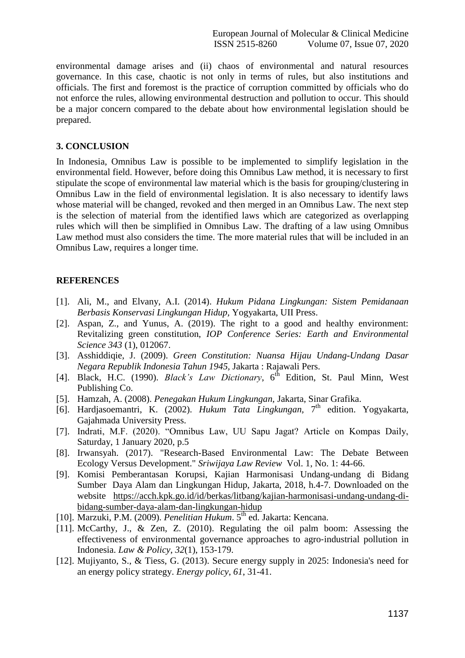environmental damage arises and (ii) chaos of environmental and natural resources governance. In this case, chaotic is not only in terms of rules, but also institutions and officials. The first and foremost is the practice of corruption committed by officials who do not enforce the rules, allowing environmental destruction and pollution to occur. This should be a major concern compared to the debate about how environmental legislation should be prepared.

### **3. CONCLUSION**

In Indonesia, Omnibus Law is possible to be implemented to simplify legislation in the environmental field. However, before doing this Omnibus Law method, it is necessary to first stipulate the scope of environmental law material which is the basis for grouping/clustering in Omnibus Law in the field of environmental legislation. It is also necessary to identify laws whose material will be changed, revoked and then merged in an Omnibus Law. The next step is the selection of material from the identified laws which are categorized as overlapping rules which will then be simplified in Omnibus Law. The drafting of a law using Omnibus Law method must also considers the time. The more material rules that will be included in an Omnibus Law, requires a longer time.

## **REFERENCES**

- [1]. Ali, M., and Elvany, A.I. (2014). *Hukum Pidana Lingkungan: Sistem Pemidanaan Berbasis Konservasi Lingkungan Hidup,* Yogyakarta, UII Press.
- [2]. Aspan, Z., and Yunus, A. (2019). The right to a good and healthy environment: Revitalizing green constitution, *IOP Conference Series: Earth and Environmental Science 343* (1), 012067.
- [3]. Asshiddiqie, J. (2009). *Green Constitution: Nuansa Hijau Undang-Undang Dasar Negara Republik Indonesia Tahun 1945,* Jakarta : Rajawali Pers.
- [4]. Black, H.C. (1990). *Black's Law Dictionary*,  $6^{\text{th}}$  Edition, St. Paul Minn, West Publishing Co.
- [5]. Hamzah, A. (2008). *Penegakan Hukum Lingkungan,* Jakarta, Sinar Grafika.
- [6]. Hardjasoemantri, K. (2002). *Hukum Tata Lingkungan*, 7<sup>th</sup> edition. Yogyakarta, Gajahmada University Press.
- [7]. Indrati, M.F. (2020). "Omnibus Law, UU Sapu Jagat? Article on Kompas Daily, Saturday, 1 January 2020, p.5
- [8]. Irwansyah. (2017). "Research-Based Environmental Law: The Debate Between Ecology Versus Development." *Sriwijaya Law Review* Vol. 1, No. 1: 44-66.
- [9]. Komisi Pemberantasan Korupsi, Kajian Harmonisasi Undang-undang di Bidang Sumber Daya Alam dan Lingkungan Hidup, Jakarta, 2018, h.4-7. Downloaded on the website [https://acch.kpk.go.id/id/berkas/litbang/kajian-harmonisasi-undang-undang-di](https://acch.kpk.go.id/id/berkas/litbang/kajian-harmonisasi-undang-undang-di-bidang-sumber-daya-alam-dan-lingkungan-hidup)[bidang-sumber-daya-alam-dan-lingkungan-hidup](https://acch.kpk.go.id/id/berkas/litbang/kajian-harmonisasi-undang-undang-di-bidang-sumber-daya-alam-dan-lingkungan-hidup)
- [10]. Marzuki, P.M. (2009). *Penelitian Hukum*. 5th ed. Jakarta: Kencana.
- [11]. McCarthy, J., & Zen, Z. (2010). Regulating the oil palm boom: Assessing the effectiveness of environmental governance approaches to agro‐industrial pollution in Indonesia. *Law & Policy*, *32*(1), 153-179.
- [12]. Mujiyanto, S., & Tiess, G. (2013). Secure energy supply in 2025: Indonesia's need for an energy policy strategy. *Energy policy*, *61*, 31-41.